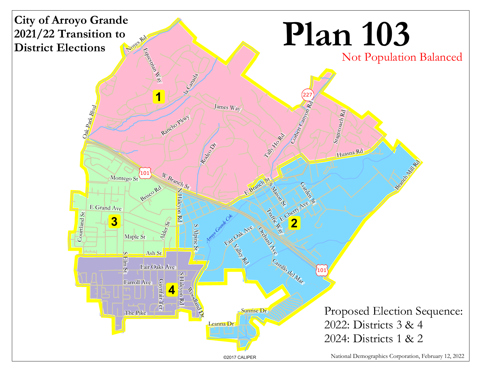